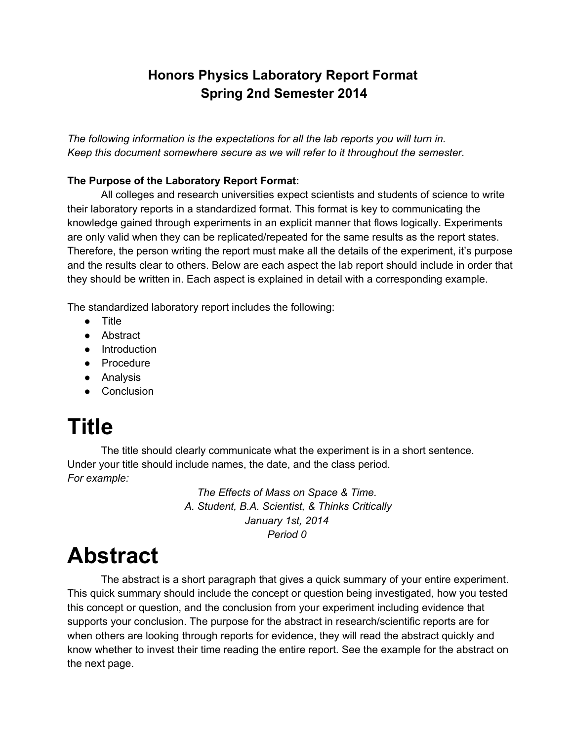### **Honors Physics Laboratory Report Format Spring 2nd Semester 2014**

*The following information is the expectations for all the lab reports you will turn in. Keep this document somewhere secure as we will refer to it throughout the semester.*

#### **The Purpose of the Laboratory Report Format:**

All colleges and research universities expect scientists and students of science to write their laboratory reports in a standardized format. This format is key to communicating the knowledge gained through experiments in an explicit manner that flows logically. Experiments are only valid when they can be replicated/repeated for the same results as the report states. Therefore, the person writing the report must make all the details of the experiment, it's purpose and the results clear to others. Below are each aspect the lab report should include in order that they should be written in. Each aspect is explained in detail with a corresponding example.

The standardized laboratory report includes the following:

- Title
- Abstract
- Introduction
- Procedure
- Analysis
- Conclusion

# **Title**

The title should clearly communicate what the experiment is in a short sentence. Under your title should include names, the date, and the class period. *For example:*

> *The Effects of Mass on Space & Time. A. Student, B.A. Scientist, & Thinks Critically January 1st, 2014 Period 0*

### **Abstract**

The abstract is a short paragraph that gives a quick summary of your entire experiment. This quick summary should include the concept or question being investigated, how you tested this concept or question, and the conclusion from your experiment including evidence that supports your conclusion. The purpose for the abstract in research/scientific reports are for when others are looking through reports for evidence, they will read the abstract quickly and know whether to invest their time reading the entire report. See the example for the abstract on the next page.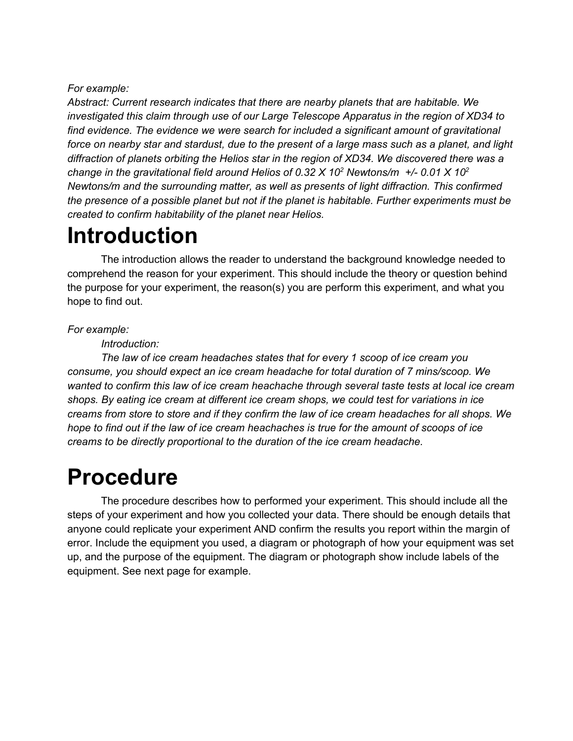#### *For example:*

*Abstract: Current research indicates that there are nearby planets that are habitable. We investigated this claim through use of our Large Telescope Apparatus in the region of XD34 to find evidence. The evidence we were search for included a significant amount of gravitational* force on nearby star and stardust, due to the present of a large mass such as a planet, and light *diffraction of planets orbiting the Helios star in the region of XD34. We discovered there was a change in the gravitational field around Helios of 0.32 X 10 <sup>2</sup> Newtons/m +/ 0.01 X 10 2 Newtons/m and the surrounding matter, as well as presents of light diffraction. This confirmed the presence of a possible planet but not if the planet is habitable. Further experiments must be created to confirm habitability of the planet near Helios.*

## **Introduction**

The introduction allows the reader to understand the background knowledge needed to comprehend the reason for your experiment. This should include the theory or question behind the purpose for your experiment, the reason(s) you are perform this experiment, and what you hope to find out.

#### *For example:*

#### *Introduction:*

*The law of ice cream headaches states that for every 1 scoop of ice cream you consume, you should expect an ice cream headache for total duration of 7 mins/scoop. We wanted to confirm this law of ice cream heachache through several taste tests at local ice cream shops. By eating ice cream at different ice cream shops, we could test for variations in ice* creams from store to store and if they confirm the law of ice cream headaches for all shops. We hope to find out if the law of ice cream heachaches is true for the amount of scoops of ice *creams to be directly proportional to the duration of the ice cream headache.*

### **Procedure**

The procedure describes how to performed your experiment. This should include all the steps of your experiment and how you collected your data. There should be enough details that anyone could replicate your experiment AND confirm the results you report within the margin of error. Include the equipment you used, a diagram or photograph of how your equipment was set up, and the purpose of the equipment. The diagram or photograph show include labels of the equipment. See next page for example.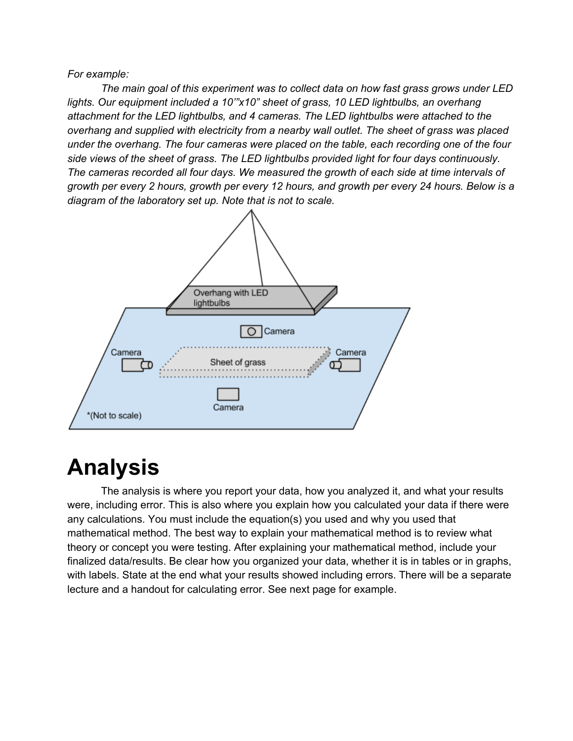*For example:*

*The main goal of this experiment was to collect data on how fast grass grows under LED lights. Our equipment included a 10'"x10" sheet of grass, 10 LED lightbulbs, an overhang attachment for the LED lightbulbs, and 4 cameras. The LED lightbulbs were attached to the overhang and supplied with electricity from a nearby wall outlet. The sheet of grass was placed under the overhang. The four cameras were placed on the table, each recording one of the four side views of the sheet of grass. The LED lightbulbs provided light for four days continuously. The cameras recorded all four days. We measured the growth of each side at time intervals of* growth per every 2 hours, growth per every 12 hours, and growth per every 24 hours. Below is a *diagram of the laboratory set up. Note that is not to scale.*



### **Analysis**

The analysis is where you report your data, how you analyzed it, and what your results were, including error. This is also where you explain how you calculated your data if there were any calculations. You must include the equation(s) you used and why you used that mathematical method. The best way to explain your mathematical method is to review what theory or concept you were testing. After explaining your mathematical method, include your finalized data/results. Be clear how you organized your data, whether it is in tables or in graphs, with labels. State at the end what your results showed including errors. There will be a separate lecture and a handout for calculating error. See next page for example.